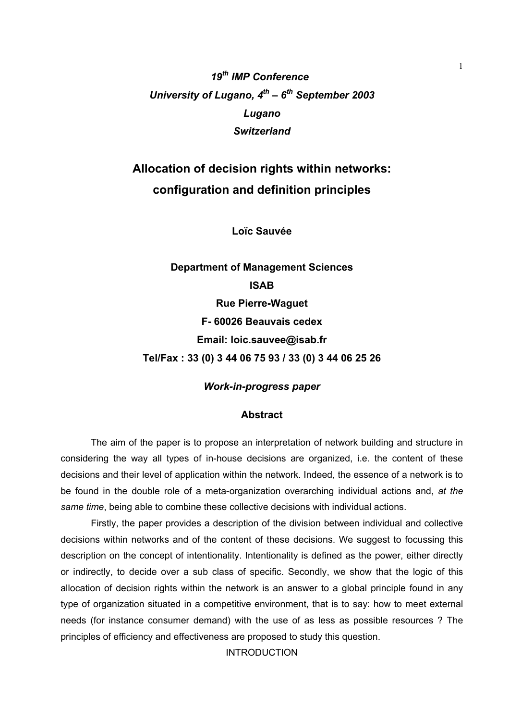*19th IMP Conference*  University of Lugano,  $4^{th}$  –  $6^{th}$  September 2003 *Lugano Switzerland* 

# **Allocation of decision rights within networks: configuration and definition principles**

**Loïc Sauvée** 

**Department of Management Sciences ISAB Rue Pierre-Waguet F- 60026 Beauvais cedex Email: loic.sauvee@isab.fr Tel/Fax : 33 (0) 3 44 06 75 93 / 33 (0) 3 44 06 25 26** 

*Work-in-progress paper* 

# **Abstract**

The aim of the paper is to propose an interpretation of network building and structure in considering the way all types of in-house decisions are organized, i.e. the content of these decisions and their level of application within the network. Indeed, the essence of a network is to be found in the double role of a meta-organization overarching individual actions and, *at the same time*, being able to combine these collective decisions with individual actions.

 Firstly, the paper provides a description of the division between individual and collective decisions within networks and of the content of these decisions. We suggest to focussing this description on the concept of intentionality. Intentionality is defined as the power, either directly or indirectly, to decide over a sub class of specific. Secondly, we show that the logic of this allocation of decision rights within the network is an answer to a global principle found in any type of organization situated in a competitive environment, that is to say: how to meet external needs (for instance consumer demand) with the use of as less as possible resources ? The principles of efficiency and effectiveness are proposed to study this question.

INTRODUCTION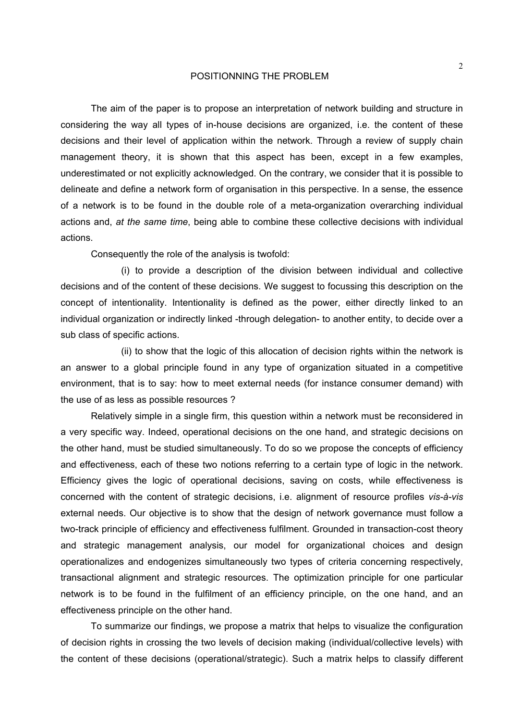#### POSITIONNING THE PROBLEM

The aim of the paper is to propose an interpretation of network building and structure in considering the way all types of in-house decisions are organized, i.e. the content of these decisions and their level of application within the network. Through a review of supply chain management theory, it is shown that this aspect has been, except in a few examples, underestimated or not explicitly acknowledged. On the contrary, we consider that it is possible to delineate and define a network form of organisation in this perspective. In a sense, the essence of a network is to be found in the double role of a meta-organization overarching individual actions and, *at the same time*, being able to combine these collective decisions with individual actions.

Consequently the role of the analysis is twofold:

 (i) to provide a description of the division between individual and collective decisions and of the content of these decisions. We suggest to focussing this description on the concept of intentionality. Intentionality is defined as the power, either directly linked to an individual organization or indirectly linked -through delegation- to another entity, to decide over a sub class of specific actions.

 (ii) to show that the logic of this allocation of decision rights within the network is an answer to a global principle found in any type of organization situated in a competitive environment, that is to say: how to meet external needs (for instance consumer demand) with the use of as less as possible resources ?

Relatively simple in a single firm, this question within a network must be reconsidered in a very specific way. Indeed, operational decisions on the one hand, and strategic decisions on the other hand, must be studied simultaneously. To do so we propose the concepts of efficiency and effectiveness, each of these two notions referring to a certain type of logic in the network. Efficiency gives the logic of operational decisions, saving on costs, while effectiveness is concerned with the content of strategic decisions, i.e. alignment of resource profiles *vis-à-vis* external needs. Our objective is to show that the design of network governance must follow a two-track principle of efficiency and effectiveness fulfilment. Grounded in transaction-cost theory and strategic management analysis, our model for organizational choices and design operationalizes and endogenizes simultaneously two types of criteria concerning respectively, transactional alignment and strategic resources. The optimization principle for one particular network is to be found in the fulfilment of an efficiency principle, on the one hand, and an effectiveness principle on the other hand.

 To summarize our findings, we propose a matrix that helps to visualize the configuration of decision rights in crossing the two levels of decision making (individual/collective levels) with the content of these decisions (operational/strategic). Such a matrix helps to classify different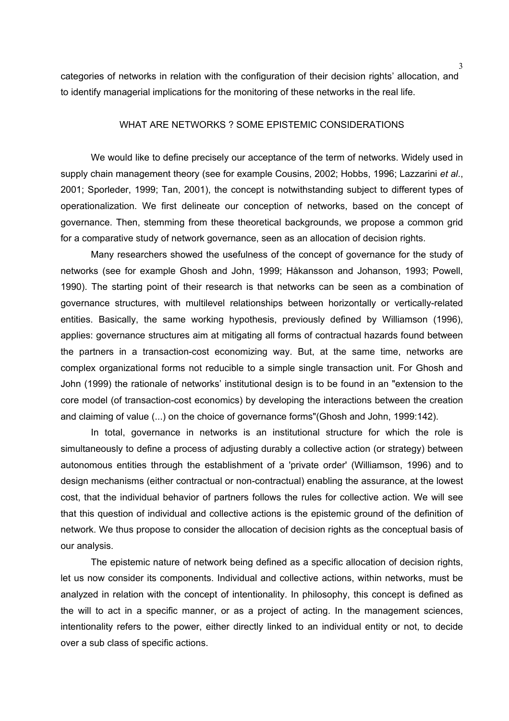categories of networks in relation with the configuration of their decision rights' allocation, and to identify managerial implications for the monitoring of these networks in the real life.

### WHAT ARE NETWORKS ? SOME EPISTEMIC CONSIDERATIONS

We would like to define precisely our acceptance of the term of networks. Widely used in supply chain management theory (see for example Cousins, 2002; Hobbs, 1996; Lazzarini *et al*., 2001; Sporleder, 1999; Tan, 2001), the concept is notwithstanding subject to different types of operationalization. We first delineate our conception of networks, based on the concept of governance. Then, stemming from these theoretical backgrounds, we propose a common grid for a comparative study of network governance, seen as an allocation of decision rights.

 Many researchers showed the usefulness of the concept of governance for the study of networks (see for example Ghosh and John, 1999; Håkansson and Johanson, 1993; Powell, 1990). The starting point of their research is that networks can be seen as a combination of governance structures, with multilevel relationships between horizontally or vertically-related entities. Basically, the same working hypothesis, previously defined by Williamson (1996), applies: governance structures aim at mitigating all forms of contractual hazards found between the partners in a transaction-cost economizing way. But, at the same time, networks are complex organizational forms not reducible to a simple single transaction unit. For Ghosh and John (1999) the rationale of networks' institutional design is to be found in an "extension to the core model (of transaction-cost economics) by developing the interactions between the creation and claiming of value (...) on the choice of governance forms"(Ghosh and John, 1999:142).

In total, governance in networks is an institutional structure for which the role is simultaneously to define a process of adjusting durably a collective action (or strategy) between autonomous entities through the establishment of a 'private order' (Williamson, 1996) and to design mechanisms (either contractual or non-contractual) enabling the assurance, at the lowest cost, that the individual behavior of partners follows the rules for collective action. We will see that this question of individual and collective actions is the epistemic ground of the definition of network. We thus propose to consider the allocation of decision rights as the conceptual basis of our analysis.

The epistemic nature of network being defined as a specific allocation of decision rights, let us now consider its components. Individual and collective actions, within networks, must be analyzed in relation with the concept of intentionality. In philosophy, this concept is defined as the will to act in a specific manner, or as a project of acting. In the management sciences, intentionality refers to the power, either directly linked to an individual entity or not, to decide over a sub class of specific actions.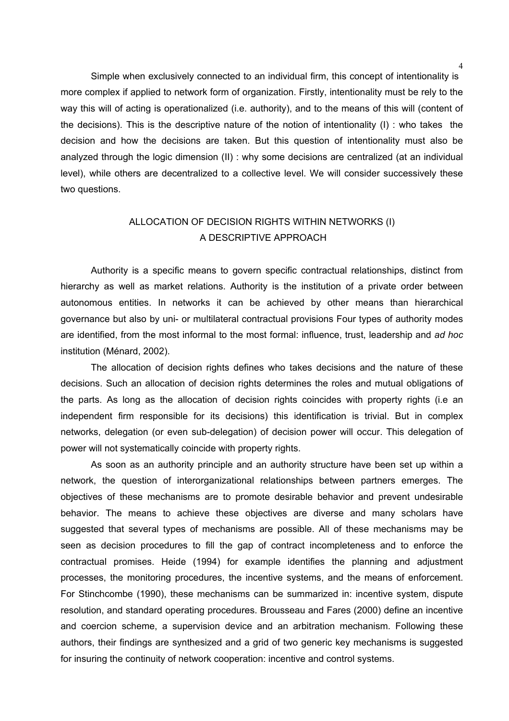Simple when exclusively connected to an individual firm, this concept of intentionality is more complex if applied to network form of organization. Firstly, intentionality must be rely to the way this will of acting is operationalized (i.e. authority), and to the means of this will (content of the decisions). This is the descriptive nature of the notion of intentionality (I) : who takes the decision and how the decisions are taken. But this question of intentionality must also be analyzed through the logic dimension (II) : why some decisions are centralized (at an individual level), while others are decentralized to a collective level. We will consider successively these two questions.

# ALLOCATION OF DECISION RIGHTS WITHIN NETWORKS (I) A DESCRIPTIVE APPROACH

 Authority is a specific means to govern specific contractual relationships, distinct from hierarchy as well as market relations. Authority is the institution of a private order between autonomous entities. In networks it can be achieved by other means than hierarchical governance but also by uni- or multilateral contractual provisions Four types of authority modes are identified, from the most informal to the most formal: influence, trust, leadership and *ad hoc* institution (Ménard, 2002).

The allocation of decision rights defines who takes decisions and the nature of these decisions. Such an allocation of decision rights determines the roles and mutual obligations of the parts. As long as the allocation of decision rights coincides with property rights (i.e an independent firm responsible for its decisions) this identification is trivial. But in complex networks, delegation (or even sub-delegation) of decision power will occur. This delegation of power will not systematically coincide with property rights.

As soon as an authority principle and an authority structure have been set up within a network, the question of interorganizational relationships between partners emerges. The objectives of these mechanisms are to promote desirable behavior and prevent undesirable behavior. The means to achieve these objectives are diverse and many scholars have suggested that several types of mechanisms are possible. All of these mechanisms may be seen as decision procedures to fill the gap of contract incompleteness and to enforce the contractual promises. Heide (1994) for example identifies the planning and adjustment processes, the monitoring procedures, the incentive systems, and the means of enforcement. For Stinchcombe (1990), these mechanisms can be summarized in: incentive system, dispute resolution, and standard operating procedures. Brousseau and Fares (2000) define an incentive and coercion scheme, a supervision device and an arbitration mechanism. Following these authors, their findings are synthesized and a grid of two generic key mechanisms is suggested for insuring the continuity of network cooperation: incentive and control systems.

4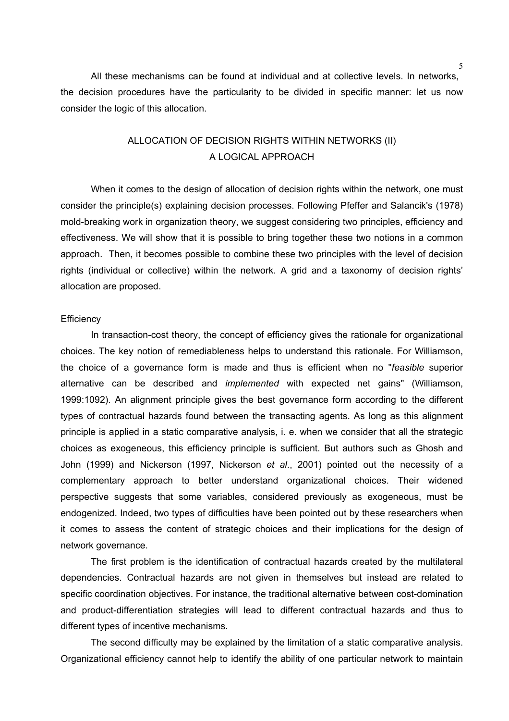All these mechanisms can be found at individual and at collective levels. In networks, the decision procedures have the particularity to be divided in specific manner: let us now consider the logic of this allocation.

# ALLOCATION OF DECISION RIGHTS WITHIN NETWORKS (II) A LOGICAL APPROACH

When it comes to the design of allocation of decision rights within the network, one must consider the principle(s) explaining decision processes. Following Pfeffer and Salancik's (1978) mold-breaking work in organization theory, we suggest considering two principles, efficiency and effectiveness. We will show that it is possible to bring together these two notions in a common approach. Then, it becomes possible to combine these two principles with the level of decision rights (individual or collective) within the network. A grid and a taxonomy of decision rights' allocation are proposed.

#### **Efficiency**

In transaction-cost theory, the concept of efficiency gives the rationale for organizational choices. The key notion of remediableness helps to understand this rationale. For Williamson, the choice of a governance form is made and thus is efficient when no "*feasible* superior alternative can be described and *implemented* with expected net gains" (Williamson, 1999:1092). An alignment principle gives the best governance form according to the different types of contractual hazards found between the transacting agents. As long as this alignment principle is applied in a static comparative analysis, i. e. when we consider that all the strategic choices as exogeneous, this efficiency principle is sufficient. But authors such as Ghosh and John (1999) and Nickerson (1997, Nickerson *et al*., 2001) pointed out the necessity of a complementary approach to better understand organizational choices. Their widened perspective suggests that some variables, considered previously as exogeneous, must be endogenized. Indeed, two types of difficulties have been pointed out by these researchers when it comes to assess the content of strategic choices and their implications for the design of network governance.

The first problem is the identification of contractual hazards created by the multilateral dependencies. Contractual hazards are not given in themselves but instead are related to specific coordination objectives. For instance, the traditional alternative between cost-domination and product-differentiation strategies will lead to different contractual hazards and thus to different types of incentive mechanisms.

The second difficulty may be explained by the limitation of a static comparative analysis. Organizational efficiency cannot help to identify the ability of one particular network to maintain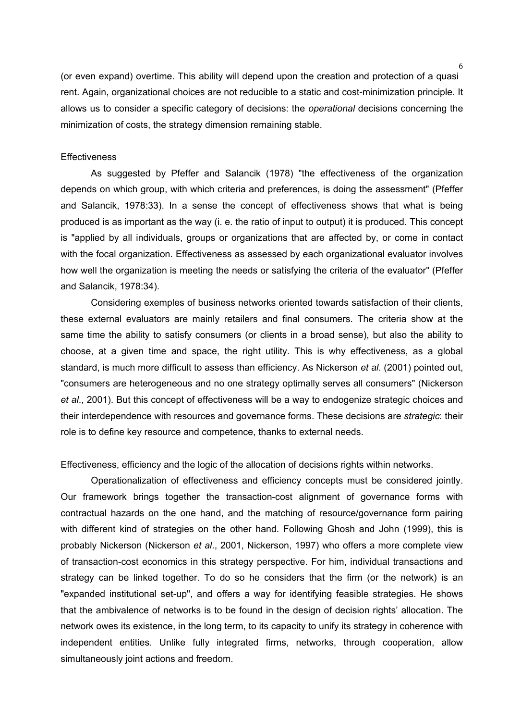(or even expand) overtime. This ability will depend upon the creation and protection of a quasi rent. Again, organizational choices are not reducible to a static and cost-minimization principle. It allows us to consider a specific category of decisions: the *operational* decisions concerning the minimization of costs, the strategy dimension remaining stable.

### **Effectiveness**

As suggested by Pfeffer and Salancik (1978) "the effectiveness of the organization depends on which group, with which criteria and preferences, is doing the assessment" (Pfeffer and Salancik, 1978:33). In a sense the concept of effectiveness shows that what is being produced is as important as the way (i. e. the ratio of input to output) it is produced. This concept is "applied by all individuals, groups or organizations that are affected by, or come in contact with the focal organization. Effectiveness as assessed by each organizational evaluator involves how well the organization is meeting the needs or satisfying the criteria of the evaluator" (Pfeffer and Salancik, 1978:34).

Considering exemples of business networks oriented towards satisfaction of their clients, these external evaluators are mainly retailers and final consumers. The criteria show at the same time the ability to satisfy consumers (or clients in a broad sense), but also the ability to choose, at a given time and space, the right utility. This is why effectiveness, as a global standard, is much more difficult to assess than efficiency. As Nickerson *et al*. (2001) pointed out, "consumers are heterogeneous and no one strategy optimally serves all consumers" (Nickerson *et al*., 2001). But this concept of effectiveness will be a way to endogenize strategic choices and their interdependence with resources and governance forms. These decisions are *strategic*: their role is to define key resource and competence, thanks to external needs.

Effectiveness, efficiency and the logic of the allocation of decisions rights within networks.

Operationalization of effectiveness and efficiency concepts must be considered jointly. Our framework brings together the transaction-cost alignment of governance forms with contractual hazards on the one hand, and the matching of resource/governance form pairing with different kind of strategies on the other hand. Following Ghosh and John (1999), this is probably Nickerson (Nickerson *et al*., 2001, Nickerson, 1997) who offers a more complete view of transaction-cost economics in this strategy perspective. For him, individual transactions and strategy can be linked together. To do so he considers that the firm (or the network) is an "expanded institutional set-up", and offers a way for identifying feasible strategies. He shows that the ambivalence of networks is to be found in the design of decision rights' allocation. The network owes its existence, in the long term, to its capacity to unify its strategy in coherence with independent entities. Unlike fully integrated firms, networks, through cooperation, allow simultaneously joint actions and freedom.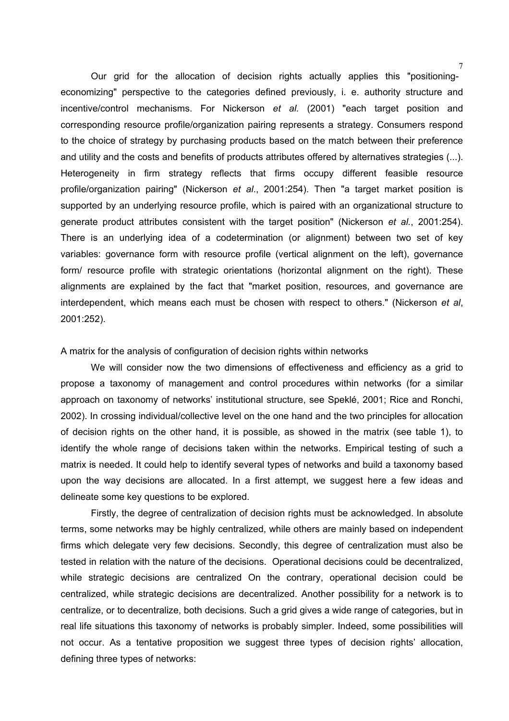Our grid for the allocation of decision rights actually applies this "positioningeconomizing" perspective to the categories defined previously, i. e. authority structure and incentive/control mechanisms. For Nickerson *et al.* (2001) "each target position and corresponding resource profile/organization pairing represents a strategy. Consumers respond to the choice of strategy by purchasing products based on the match between their preference and utility and the costs and benefits of products attributes offered by alternatives strategies (...). Heterogeneity in firm strategy reflects that firms occupy different feasible resource profile/organization pairing" (Nickerson *et al*., 2001:254). Then "a target market position is supported by an underlying resource profile, which is paired with an organizational structure to generate product attributes consistent with the target position" (Nickerson *et al.*, 2001:254). There is an underlying idea of a codetermination (or alignment) between two set of key variables: governance form with resource profile (vertical alignment on the left), governance form/ resource profile with strategic orientations (horizontal alignment on the right). These alignments are explained by the fact that "market position, resources, and governance are interdependent, which means each must be chosen with respect to others." (Nickerson *et al*, 2001:252).

## A matrix for the analysis of configuration of decision rights within networks

 We will consider now the two dimensions of effectiveness and efficiency as a grid to propose a taxonomy of management and control procedures within networks (for a similar approach on taxonomy of networks' institutional structure, see Speklé, 2001; Rice and Ronchi, 2002). In crossing individual/collective level on the one hand and the two principles for allocation of decision rights on the other hand, it is possible, as showed in the matrix (see table 1), to identify the whole range of decisions taken within the networks. Empirical testing of such a matrix is needed. It could help to identify several types of networks and build a taxonomy based upon the way decisions are allocated. In a first attempt, we suggest here a few ideas and delineate some key questions to be explored.

 Firstly, the degree of centralization of decision rights must be acknowledged. In absolute terms, some networks may be highly centralized, while others are mainly based on independent firms which delegate very few decisions. Secondly, this degree of centralization must also be tested in relation with the nature of the decisions. Operational decisions could be decentralized, while strategic decisions are centralized On the contrary, operational decision could be centralized, while strategic decisions are decentralized. Another possibility for a network is to centralize, or to decentralize, both decisions. Such a grid gives a wide range of categories, but in real life situations this taxonomy of networks is probably simpler. Indeed, some possibilities will not occur. As a tentative proposition we suggest three types of decision rights' allocation, defining three types of networks:

7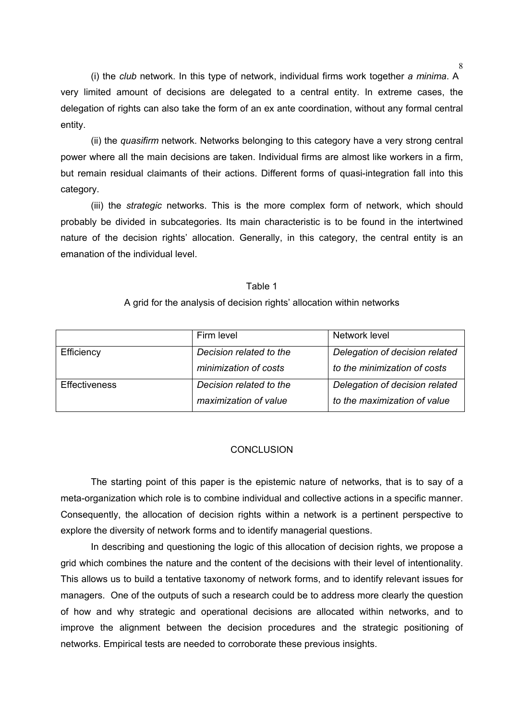(i) the *club* network. In this type of network, individual firms work together *a minima*. A very limited amount of decisions are delegated to a central entity. In extreme cases, the delegation of rights can also take the form of an ex ante coordination, without any formal central entity.

 (ii) the *quasifirm* network. Networks belonging to this category have a very strong central power where all the main decisions are taken. Individual firms are almost like workers in a firm, but remain residual claimants of their actions. Different forms of quasi-integration fall into this category.

 (iii) the *strategic* networks. This is the more complex form of network, which should probably be divided in subcategories. Its main characteristic is to be found in the intertwined nature of the decision rights' allocation. Generally, in this category, the central entity is an emanation of the individual level.

#### Table 1

#### A grid for the analysis of decision rights' allocation within networks

|                      | Firm level              | Network level                  |
|----------------------|-------------------------|--------------------------------|
| Efficiency           | Decision related to the | Delegation of decision related |
|                      | minimization of costs   | to the minimization of costs   |
| <b>Effectiveness</b> | Decision related to the | Delegation of decision related |
|                      | maximization of value   | to the maximization of value   |

## **CONCLUSION**

The starting point of this paper is the epistemic nature of networks, that is to say of a meta-organization which role is to combine individual and collective actions in a specific manner. Consequently, the allocation of decision rights within a network is a pertinent perspective to explore the diversity of network forms and to identify managerial questions.

In describing and questioning the logic of this allocation of decision rights, we propose a grid which combines the nature and the content of the decisions with their level of intentionality. This allows us to build a tentative taxonomy of network forms, and to identify relevant issues for managers. One of the outputs of such a research could be to address more clearly the question of how and why strategic and operational decisions are allocated within networks, and to improve the alignment between the decision procedures and the strategic positioning of networks. Empirical tests are needed to corroborate these previous insights.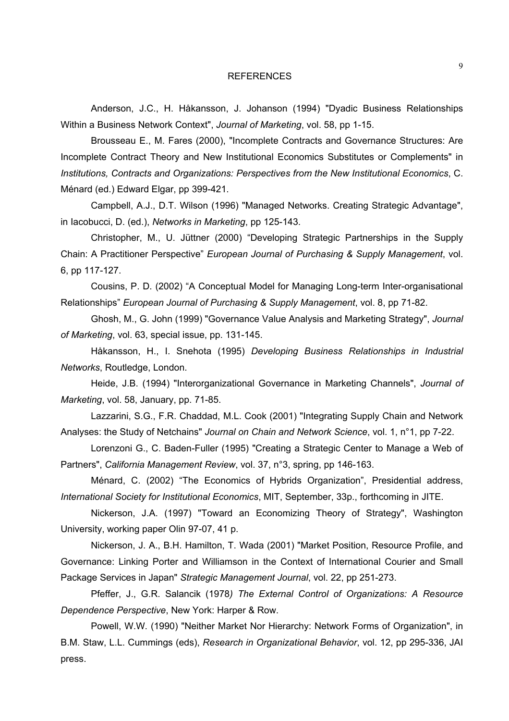#### REFERENCES

Anderson, J.C., H. Håkansson, J. Johanson (1994) "Dyadic Business Relationships Within a Business Network Context", *Journal of Marketing*, vol. 58, pp 1-15.

Brousseau E., M. Fares (2000), "Incomplete Contracts and Governance Structures: Are Incomplete Contract Theory and New Institutional Economics Substitutes or Complements" in *Institutions, Contracts and Organizations: Perspectives from the New Institutional Economics*, C. Ménard (ed.) Edward Elgar, pp 399-421.

Campbell, A.J., D.T. Wilson (1996) "Managed Networks. Creating Strategic Advantage", in Iacobucci, D. (ed.), *Networks in Marketing*, pp 125-143.

Christopher, M., U. Jüttner (2000) "Developing Strategic Partnerships in the Supply Chain: A Practitioner Perspective" *European Journal of Purchasing & Supply Management*, vol. 6, pp 117-127.

Cousins, P. D. (2002) "A Conceptual Model for Managing Long-term Inter-organisational Relationships" *European Journal of Purchasing & Supply Management*, vol. 8, pp 71-82.

Ghosh, M., G. John (1999) "Governance Value Analysis and Marketing Strategy", *Journal of Marketing*, vol. 63, special issue, pp. 131-145.

Håkansson, H., I. Snehota (1995) *Developing Business Relationships in Industrial Networks*, Routledge, London.

Heide, J.B. (1994) "Interorganizational Governance in Marketing Channels", *Journal of Marketing*, vol. 58, January, pp. 71-85.

Lazzarini, S.G., F.R. Chaddad, M.L. Cook (2001) "Integrating Supply Chain and Network Analyses: the Study of Netchains" *Journal on Chain and Network Science*, vol. 1, n°1, pp 7-22.

Lorenzoni G., C. Baden-Fuller (1995) "Creating a Strategic Center to Manage a Web of Partners", *California Management Review*, vol. 37, n°3, spring, pp 146-163.

Ménard, C. (2002) "The Economics of Hybrids Organization", Presidential address, *International Society for Institutional Economics*, MIT, September, 33p., forthcoming in JITE.

Nickerson, J.A. (1997) "Toward an Economizing Theory of Strategy", Washington University, working paper Olin 97-07, 41 p.

Nickerson, J. A., B.H. Hamilton, T. Wada (2001) "Market Position, Resource Profile, and Governance: Linking Porter and Williamson in the Context of International Courier and Small Package Services in Japan" *Strategic Management Journal*, vol. 22, pp 251-273.

Pfeffer, J., G.R. Salancik (1978*) The External Control of Organizations: A Resource Dependence Perspective*, New York: Harper & Row.

Powell, W.W. (1990) "Neither Market Nor Hierarchy: Network Forms of Organization", in B.M. Staw, L.L. Cummings (eds), *Research in Organizational Behavior*, vol. 12, pp 295-336, JAI press.